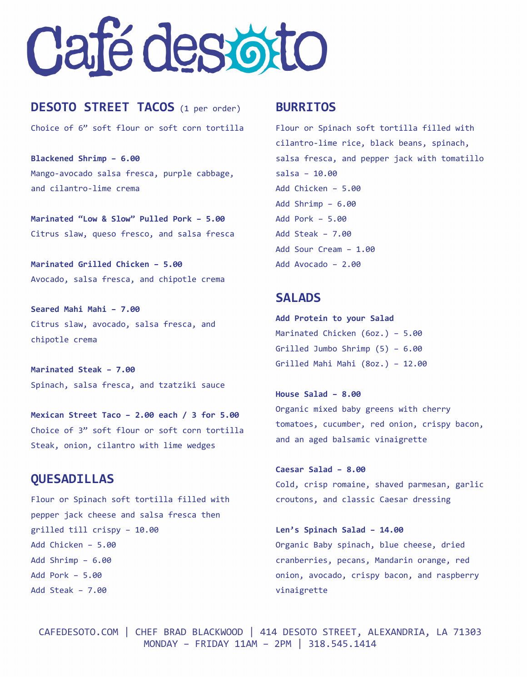# Caté des otto

## **DESOTO STREET TACOS** (1 per order)

Choice of 6" soft flour or soft corn tortilla

**Blackened Shrimp – 6.00** Mango-avocado salsa fresca, purple cabbage, and cilantro-lime crema

**Marinated "Low & Slow" Pulled Pork – 5.00** Citrus slaw, queso fresco, and salsa fresca

**Marinated Grilled Chicken – 5.00** Avocado, salsa fresca, and chipotle crema

**Seared Mahi Mahi – 7.00** Citrus slaw, avocado, salsa fresca, and chipotle crema

**Marinated Steak – 7.00** Spinach, salsa fresca, and tzatziki sauce

**Mexican Street Taco – 2.00 each / 3 for 5.00** Choice of 3" soft flour or soft corn tortilla Steak, onion, cilantro with lime wedges

## **QUESADILLAS**

Flour or Spinach soft tortilla filled with pepper jack cheese and salsa fresca then grilled till crispy – 10.00 Add Chicken – 5.00 Add Shrimp – 6.00 Add Pork – 5.00 Add Steak – 7.00

### **BURRITOS**

Flour or Spinach soft tortilla filled with cilantro-lime rice, black beans, spinach, salsa fresca, and pepper jack with tomatillo salsa – 10.00 Add Chicken – 5.00 Add Shrimp – 6.00 Add Pork – 5.00 Add Steak – 7.00 Add Sour Cream – 1.00 Add Avocado – 2.00

## **SALADS**

**Add Protein to your Salad** Marinated Chicken (6oz.) – 5.00 Grilled Jumbo Shrimp (5) – 6.00 Grilled Mahi Mahi (8oz.) – 12.00

**House Salad – 8.00** Organic mixed baby greens with cherry tomatoes, cucumber, red onion, crispy bacon, and an aged balsamic vinaigrette

**Caesar Salad – 8.00** Cold, crisp romaine, shaved parmesan, garlic croutons, and classic Caesar dressing

**Len's Spinach Salad – 14.00** Organic Baby spinach, blue cheese, dried cranberries, pecans, Mandarin orange, red onion, avocado, crispy bacon, and raspberry vinaigrette

CAFEDESOTO.COM | CHEF BRAD BLACKWOOD | 414 DESOTO STREET, ALEXANDRIA, LA 71303 MONDAY – FRIDAY 11AM – 2PM | 318.545.1414